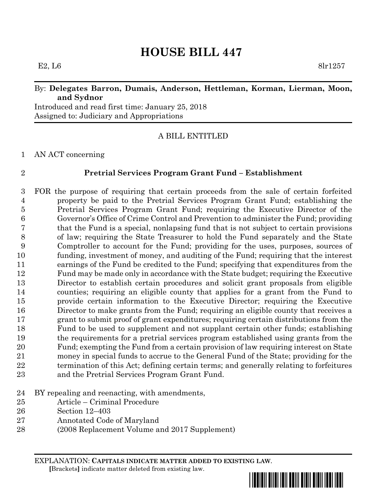# **HOUSE BILL 447**

### By: **Delegates Barron, Dumais, Anderson, Hettleman, Korman, Lierman, Moon, and Sydnor**

Introduced and read first time: January 25, 2018 Assigned to: Judiciary and Appropriations

## A BILL ENTITLED

AN ACT concerning

#### **Pretrial Services Program Grant Fund – Establishment**

 FOR the purpose of requiring that certain proceeds from the sale of certain forfeited property be paid to the Pretrial Services Program Grant Fund; establishing the Pretrial Services Program Grant Fund; requiring the Executive Director of the Governor's Office of Crime Control and Prevention to administer the Fund; providing that the Fund is a special, nonlapsing fund that is not subject to certain provisions of law; requiring the State Treasurer to hold the Fund separately and the State Comptroller to account for the Fund; providing for the uses, purposes, sources of funding, investment of money, and auditing of the Fund; requiring that the interest earnings of the Fund be credited to the Fund; specifying that expenditures from the Fund may be made only in accordance with the State budget; requiring the Executive Director to establish certain procedures and solicit grant proposals from eligible counties; requiring an eligible county that applies for a grant from the Fund to provide certain information to the Executive Director; requiring the Executive Director to make grants from the Fund; requiring an eligible county that receives a grant to submit proof of grant expenditures; requiring certain distributions from the Fund to be used to supplement and not supplant certain other funds; establishing the requirements for a pretrial services program established using grants from the Fund; exempting the Fund from a certain provision of law requiring interest on State money in special funds to accrue to the General Fund of the State; providing for the termination of this Act; defining certain terms; and generally relating to forfeitures and the Pretrial Services Program Grant Fund.

- BY repealing and reenacting, with amendments,
- Article Criminal Procedure
- Section 12–403
- Annotated Code of Maryland
- (2008 Replacement Volume and 2017 Supplement)

EXPLANATION: **CAPITALS INDICATE MATTER ADDED TO EXISTING LAW**.  **[**Brackets**]** indicate matter deleted from existing law.

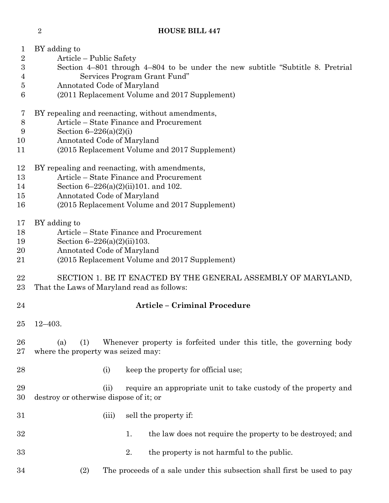| $\sqrt{2}$ | Article – Public Safety                                                                                                 |  |  |  |  |
|------------|-------------------------------------------------------------------------------------------------------------------------|--|--|--|--|
| 3          | Section 4–801 through 4–804 to be under the new subtitle "Subtitle 8. Pretrial"                                         |  |  |  |  |
| 4          | Services Program Grant Fund"                                                                                            |  |  |  |  |
| 5          | Annotated Code of Maryland                                                                                              |  |  |  |  |
| 6          | (2011 Replacement Volume and 2017 Supplement)                                                                           |  |  |  |  |
| 7          | BY repealing and reenacting, without amendments,                                                                        |  |  |  |  |
| $8\,$      | Article – State Finance and Procurement                                                                                 |  |  |  |  |
| 9          | Section $6 - 226(a)(2)(i)$                                                                                              |  |  |  |  |
| 10         | Annotated Code of Maryland                                                                                              |  |  |  |  |
| 11         | (2015 Replacement Volume and 2017 Supplement)                                                                           |  |  |  |  |
| 12         | BY repealing and reenacting, with amendments,                                                                           |  |  |  |  |
| 13         | Article – State Finance and Procurement                                                                                 |  |  |  |  |
| 14         | Section 6-226(a)(2)(ii)101. and 102.                                                                                    |  |  |  |  |
| 15         | Annotated Code of Maryland                                                                                              |  |  |  |  |
| 16         | (2015 Replacement Volume and 2017 Supplement)                                                                           |  |  |  |  |
| 17         | BY adding to<br>Article – State Finance and Procurement                                                                 |  |  |  |  |
| 18<br>19   | Section $6-226(a)(2)(ii)103$ .                                                                                          |  |  |  |  |
| 20         | Annotated Code of Maryland                                                                                              |  |  |  |  |
| 21         | (2015 Replacement Volume and 2017 Supplement)                                                                           |  |  |  |  |
|            |                                                                                                                         |  |  |  |  |
| 22<br>23   | SECTION 1. BE IT ENACTED BY THE GENERAL ASSEMBLY OF MARYLAND,<br>That the Laws of Maryland read as follows:             |  |  |  |  |
| 24         | <b>Article - Criminal Procedure</b>                                                                                     |  |  |  |  |
|            |                                                                                                                         |  |  |  |  |
| 25         | $12 - 403.$                                                                                                             |  |  |  |  |
| 26<br>27   | (1)<br>Whenever property is forfeited under this title, the governing body<br>(a)<br>where the property was seized may: |  |  |  |  |
| 28         | keep the property for official use;<br>(i)                                                                              |  |  |  |  |
| 29<br>30   | require an appropriate unit to take custody of the property and<br>(ii)<br>destroy or otherwise dispose of it; or       |  |  |  |  |
| 31         | sell the property if:<br>(iii)                                                                                          |  |  |  |  |
| 32         | the law does not require the property to be destroyed; and<br>1.                                                        |  |  |  |  |
| 33         | 2.<br>the property is not harmful to the public.                                                                        |  |  |  |  |
| 34         | The proceeds of a sale under this subsection shall first be used to pay<br>(2)                                          |  |  |  |  |

BY adding to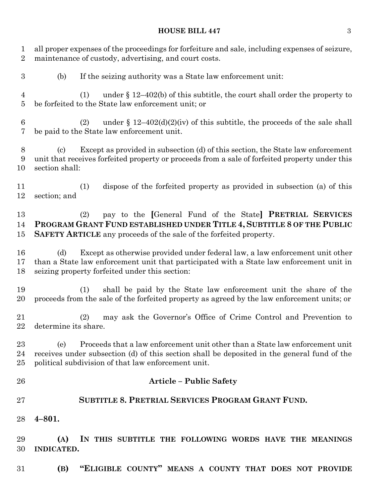## **HOUSE BILL 447** 3

all proper expenses of the proceedings for forfeiture and sale, including expenses of seizure,

| $\overline{2}$      | maintenance of custody, advertising, and court costs.                                                                                                                                                                                     |  |  |  |
|---------------------|-------------------------------------------------------------------------------------------------------------------------------------------------------------------------------------------------------------------------------------------|--|--|--|
| $\boldsymbol{3}$    | If the seizing authority was a State law enforcement unit:<br>(b)                                                                                                                                                                         |  |  |  |
| $\overline{4}$<br>5 | under $\S$ 12–402(b) of this subtitle, the court shall order the property to<br>(1)<br>be forfeited to the State law enforcement unit; or                                                                                                 |  |  |  |
| 6<br>7              | under § 12-402(d)(2)(iv) of this subtitle, the proceeds of the sale shall<br>(2)<br>be paid to the State law enforcement unit.                                                                                                            |  |  |  |
| 8<br>9<br>10        | Except as provided in subsection (d) of this section, the State law enforcement<br>(c)<br>unit that receives forfeited property or proceeds from a sale of forfeited property under this<br>section shall:                                |  |  |  |
| 11<br>12            | dispose of the forfeited property as provided in subsection (a) of this<br>(1)<br>section; and                                                                                                                                            |  |  |  |
| 13<br>14<br>15      | pay to the [General Fund of the State] PRETRIAL SERVICES<br>(2)<br>PROGRAM GRANT FUND ESTABLISHED UNDER TITLE 4, SUBTITLE 8 OF THE PUBLIC<br>SAFETY ARTICLE any proceeds of the sale of the forfeited property.                           |  |  |  |
| 16<br>17<br>18      | Except as otherwise provided under federal law, a law enforcement unit other<br>(d)<br>than a State law enforcement unit that participated with a State law enforcement unit in<br>seizing property forfeited under this section:         |  |  |  |
| 19<br>20            | shall be paid by the State law enforcement unit the share of the<br>(1)<br>proceeds from the sale of the forfeited property as agreed by the law enforcement units; or                                                                    |  |  |  |
| 21<br>22            | may ask the Governor's Office of Crime Control and Prevention to<br>(2)<br>determine its share.                                                                                                                                           |  |  |  |
| 23<br>24<br>25      | Proceeds that a law enforcement unit other than a State law enforcement unit<br>(e)<br>receives under subsection (d) of this section shall be deposited in the general fund of the<br>political subdivision of that law enforcement unit. |  |  |  |
| 26                  | <b>Article - Public Safety</b>                                                                                                                                                                                                            |  |  |  |
| 27                  | <b>SUBTITLE 8. PRETRIAL SERVICES PROGRAM GRANT FUND.</b>                                                                                                                                                                                  |  |  |  |
| 28                  | $4 - 801.$                                                                                                                                                                                                                                |  |  |  |
| 29<br>30            | (A)<br>IN THIS SUBTITLE THE FOLLOWING WORDS HAVE THE MEANINGS<br><b>INDICATED.</b>                                                                                                                                                        |  |  |  |
| 31                  | "ELIGIBLE COUNTY" MEANS A COUNTY THAT DOES NOT PROVIDE<br>(B)                                                                                                                                                                             |  |  |  |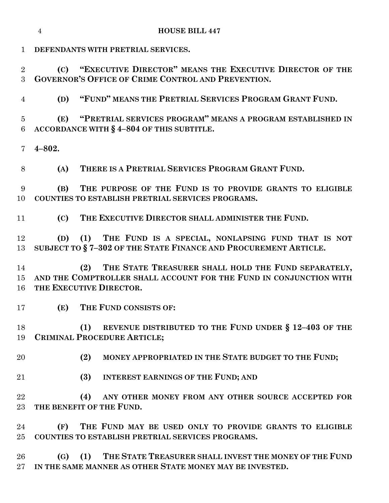**DEFENDANTS WITH PRETRIAL SERVICES.**

 **(C) "EXECUTIVE DIRECTOR" MEANS THE EXECUTIVE DIRECTOR OF THE GOVERNOR'S OFFICE OF CRIME CONTROL AND PREVENTION.**

**(D) "FUND" MEANS THE PRETRIAL SERVICES PROGRAM GRANT FUND.**

 **(E) "PRETRIAL SERVICES PROGRAM" MEANS A PROGRAM ESTABLISHED IN ACCORDANCE WITH § 4–804 OF THIS SUBTITLE.**

**4–802.**

**(A) THERE IS A PRETRIAL SERVICES PROGRAM GRANT FUND.**

 **(B) THE PURPOSE OF THE FUND IS TO PROVIDE GRANTS TO ELIGIBLE COUNTIES TO ESTABLISH PRETRIAL SERVICES PROGRAMS.**

**(C) THE EXECUTIVE DIRECTOR SHALL ADMINISTER THE FUND.**

 **(D) (1) THE FUND IS A SPECIAL, NONLAPSING FUND THAT IS NOT SUBJECT TO § 7–302 OF THE STATE FINANCE AND PROCUREMENT ARTICLE.**

 **(2) THE STATE TREASURER SHALL HOLD THE FUND SEPARATELY, AND THE COMPTROLLER SHALL ACCOUNT FOR THE FUND IN CONJUNCTION WITH THE EXECUTIVE DIRECTOR.**

**(E) THE FUND CONSISTS OF:**

 **(1) REVENUE DISTRIBUTED TO THE FUND UNDER § 12–403 OF THE CRIMINAL PROCEDURE ARTICLE;**

- **(2) MONEY APPROPRIATED IN THE STATE BUDGET TO THE FUND;**
- **(3) INTEREST EARNINGS OF THE FUND; AND**

 **(4) ANY OTHER MONEY FROM ANY OTHER SOURCE ACCEPTED FOR THE BENEFIT OF THE FUND.**

 **(F) THE FUND MAY BE USED ONLY TO PROVIDE GRANTS TO ELIGIBLE COUNTIES TO ESTABLISH PRETRIAL SERVICES PROGRAMS.**

 **(G) (1) THE STATE TREASURER SHALL INVEST THE MONEY OF THE FUND IN THE SAME MANNER AS OTHER STATE MONEY MAY BE INVESTED.**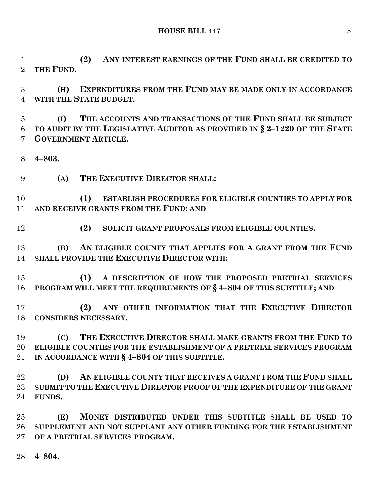**HOUSE BILL 447** 5

 **(2) ANY INTEREST EARNINGS OF THE FUND SHALL BE CREDITED TO THE FUND.**

 **(H) EXPENDITURES FROM THE FUND MAY BE MADE ONLY IN ACCORDANCE WITH THE STATE BUDGET.**

 **(I) THE ACCOUNTS AND TRANSACTIONS OF THE FUND SHALL BE SUBJECT TO AUDIT BY THE LEGISLATIVE AUDITOR AS PROVIDED IN § 2–1220 OF THE STATE GOVERNMENT ARTICLE.**

- **4–803.**
- **(A) THE EXECUTIVE DIRECTOR SHALL:**

 **(1) ESTABLISH PROCEDURES FOR ELIGIBLE COUNTIES TO APPLY FOR AND RECEIVE GRANTS FROM THE FUND; AND**

**(2) SOLICIT GRANT PROPOSALS FROM ELIGIBLE COUNTIES.**

 **(B) AN ELIGIBLE COUNTY THAT APPLIES FOR A GRANT FROM THE FUND SHALL PROVIDE THE EXECUTIVE DIRECTOR WITH:**

 **(1) A DESCRIPTION OF HOW THE PROPOSED PRETRIAL SERVICES PROGRAM WILL MEET THE REQUIREMENTS OF § 4–804 OF THIS SUBTITLE; AND**

 **(2) ANY OTHER INFORMATION THAT THE EXECUTIVE DIRECTOR CONSIDERS NECESSARY.**

 **(C) THE EXECUTIVE DIRECTOR SHALL MAKE GRANTS FROM THE FUND TO ELIGIBLE COUNTIES FOR THE ESTABLISHMENT OF A PRETRIAL SERVICES PROGRAM IN ACCORDANCE WITH § 4–804 OF THIS SUBTITLE.**

 **(D) AN ELIGIBLE COUNTY THAT RECEIVES A GRANT FROM THE FUND SHALL SUBMIT TO THE EXECUTIVE DIRECTOR PROOF OF THE EXPENDITURE OF THE GRANT FUNDS.**

 **(E) MONEY DISTRIBUTED UNDER THIS SUBTITLE SHALL BE USED TO SUPPLEMENT AND NOT SUPPLANT ANY OTHER FUNDING FOR THE ESTABLISHMENT OF A PRETRIAL SERVICES PROGRAM.**

**4–804.**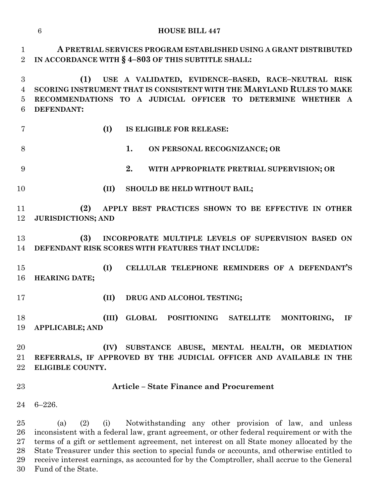**HOUSE BILL 447**

 **A PRETRIAL SERVICES PROGRAM ESTABLISHED USING A GRANT DISTRIBUTED IN ACCORDANCE WITH § 4–803 OF THIS SUBTITLE SHALL:**

 **(1) USE A VALIDATED, EVIDENCE–BASED, RACE–NEUTRAL RISK SCORING INSTRUMENT THAT IS CONSISTENT WITH THE MARYLAND RULES TO MAKE RECOMMENDATIONS TO A JUDICIAL OFFICER TO DETERMINE WHETHER A DEFENDANT:**

**(I) IS ELIGIBLE FOR RELEASE:**

- **1. ON PERSONAL RECOGNIZANCE; OR**
- **2. WITH APPROPRIATE PRETRIAL SUPERVISION; OR**
- **(II) SHOULD BE HELD WITHOUT BAIL;**

 **(2) APPLY BEST PRACTICES SHOWN TO BE EFFECTIVE IN OTHER JURISDICTIONS; AND**

 **(3) INCORPORATE MULTIPLE LEVELS OF SUPERVISION BASED ON DEFENDANT RISK SCORES WITH FEATURES THAT INCLUDE:**

 **(I) CELLULAR TELEPHONE REMINDERS OF A DEFENDANT'S HEARING DATE;**

**(II) DRUG AND ALCOHOL TESTING;**

 **(III) GLOBAL POSITIONING SATELLITE MONITORING, IF APPLICABLE; AND**

 **(IV) SUBSTANCE ABUSE, MENTAL HEALTH, OR MEDIATION REFERRALS, IF APPROVED BY THE JUDICIAL OFFICER AND AVAILABLE IN THE ELIGIBLE COUNTY.**

#### **Article – State Finance and Procurement**

6–226.

 (a) (2) (i) Notwithstanding any other provision of law, and unless inconsistent with a federal law, grant agreement, or other federal requirement or with the terms of a gift or settlement agreement, net interest on all State money allocated by the State Treasurer under this section to special funds or accounts, and otherwise entitled to receive interest earnings, as accounted for by the Comptroller, shall accrue to the General Fund of the State.